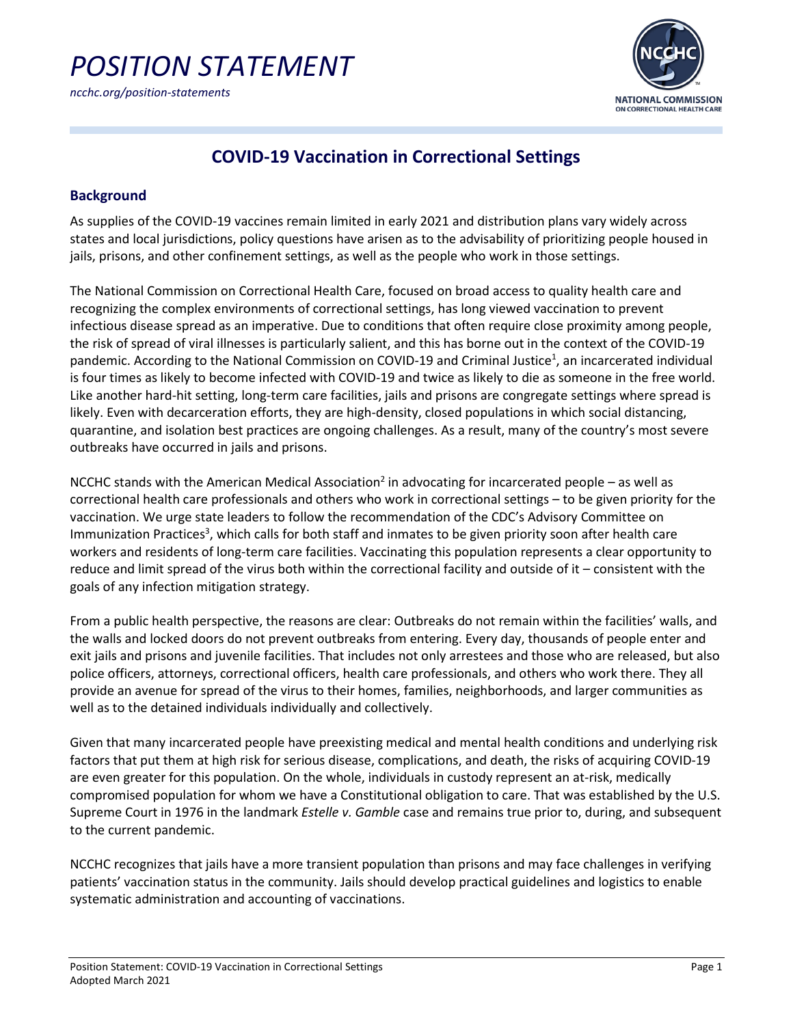

# **COVID-19 Vaccination in Correctional Settings**

## **Background**

As supplies of the COVID-19 vaccines remain limited in early 2021 and distribution plans vary widely across states and local jurisdictions, policy questions have arisen as to the advisability of prioritizing people housed in jails, prisons, and other confinement settings, as well as the people who work in those settings.

The National Commission on Correctional Health Care, focused on broad access to quality health care and recognizing the complex environments of correctional settings, has long viewed vaccination to prevent infectious disease spread as an imperative. Due to conditions that often require close proximity among people, the risk of spread of viral illnesses is particularly salient, and this has borne out in the context of the COVID-19 pandemic. According to the National Commission on COVID-19 and Criminal Justice<sup>1</sup>, an incarcerated individual is four times as likely to become infected with COVID-19 and twice as likely to die as someone in the free world. Like another hard-hit setting, long-term care facilities, jails and prisons are congregate settings where spread is likely. Even with decarceration efforts, they are high-density, closed populations in which social distancing, quarantine, and isolation best practices are ongoing challenges. As a result, many of the country's most severe outbreaks have occurred in jails and prisons.

NCCHC stands with the American Medical Association<sup>2</sup> in advocating for incarcerated people – as well as correctional health care professionals and others who work in correctional settings – to be given priority for the vaccination. We urge state leaders to follow the recommendation of the [CDC's Advisory Committee on](https://www.cdc.gov/mmwr/volumes/69/wr/mm6949e1.htm)  Immunization Practices<sup>3</sup>, which calls for both staff and inmates to be given priority soon after health care workers and residents of long-term care facilities. Vaccinating this population represents a clear opportunity to reduce and limit spread of the virus both within the correctional facility and outside of it – consistent with the goals of any infection mitigation strategy.

From a public health perspective, the reasons are clear: Outbreaks do not remain within the facilities' walls, and the walls and locked doors do not prevent outbreaks from entering. Every day, thousands of people enter and exit jails and prisons and juvenile facilities. That includes not only arrestees and those who are released, but also police officers, attorneys, correctional officers, health care professionals, and others who work there. They all provide an avenue for spread of the virus to their homes, families, neighborhoods, and larger communities as well as to the detained individuals individually and collectively.

Given that many incarcerated people have preexisting medical and mental health conditions and underlying risk factors that put them at high risk for serious disease, complications, and death, the risks of acquiring COVID-19 are even greater for this population. On the whole, individuals in custody represent an at-risk, medically compromised population for whom we have a Constitutional obligation to care. That was established by the U.S. Supreme Court in 1976 in the landmark *Estelle v. Gamble* case and remains true prior to, during, and subsequent to the current pandemic.

NCCHC recognizes that jails have a more transient population than prisons and may face challenges in verifying patients' vaccination status in the community. Jails should develop practical guidelines and logistics to enable systematic administration and accounting of vaccinations.